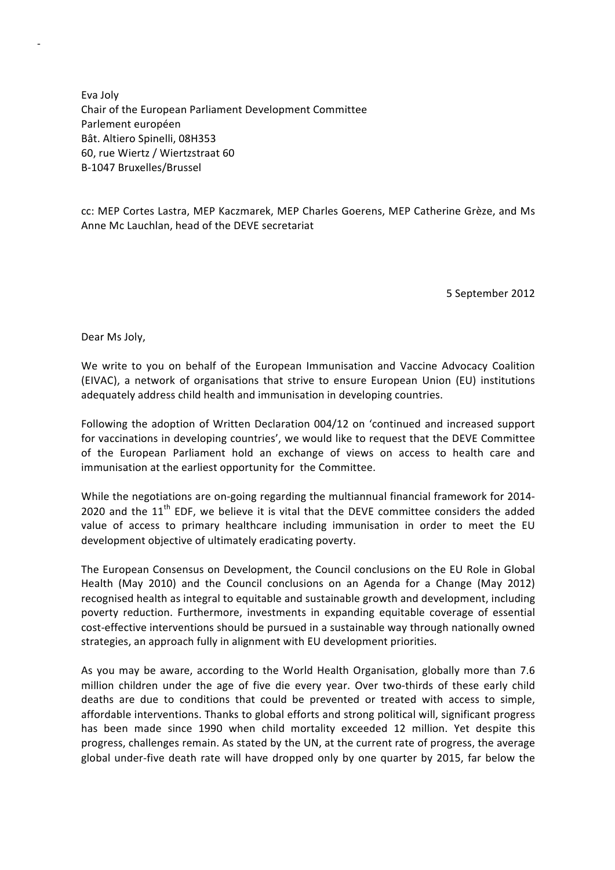Eva Joly Chair of the European Parliament Development Committee Parlement européen Bât. Altiero Spinelli, 08H353 60, rue Wiertz / Wiertzstraat 60 B‐1047 Bruxelles/Brussel

cc: MEP Cortes Lastra, MEP Kaczmarek, MEP Charles Goerens, MEP Catherine Grèze, and Ms Anne Mc Lauchlan, head of the DEVE secretariat

5 September 2012

Dear Ms Joly,

‐

We write to you on behalf of the European Immunisation and Vaccine Advocacy Coalition (EIVAC), a network of organisations that strive to ensure European Union (EU) institutions adequately address child health and immunisation in developing countries.

Following the adoption of Written Declaration 004/12 on 'continued and increased support for vaccinations in developing countries', we would like to request that the DEVE Committee of the European Parliament hold an exchange of views on access to health care and immunisation at the earliest opportunity for the Committee.

While the negotiations are on-going regarding the multiannual financial framework for 2014-2020 and the  $11<sup>th</sup>$  EDF, we believe it is vital that the DEVE committee considers the added value of access to primary healthcare including immunisation in order to meet the EU development objective of ultimately eradicating poverty.

The European Consensus on Development, the Council conclusions on the EU Role in Global Health (May 2010) and the Council conclusions on an Agenda for a Change (May 2012) recognised health as integral to equitable and sustainable growth and development, including poverty reduction. Furthermore, investments in expanding equitable coverage of essential cost-effective interventions should be pursued in a sustainable way through nationally owned strategies, an approach fully in alignment with EU development priorities.

As you may be aware, according to the World Health Organisation, globally more than 7.6 million children under the age of five die every year. Over two-thirds of these early child deaths are due to conditions that could be prevented or treated with access to simple, affordable interventions. Thanks to global efforts and strong political will, significant progress has been made since 1990 when child mortality exceeded 12 million. Yet despite this progress, challenges remain. As stated by the UN, at the current rate of progress, the average global under-five death rate will have dropped only by one quarter by 2015, far below the